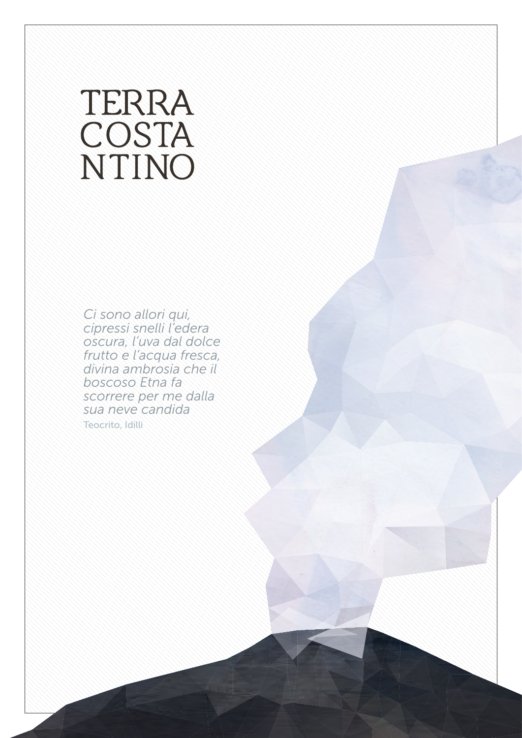## TERRA COSTA NTINO

*Ci sono allori qui, cipressi snelli l'edera oscura, l'uva dal dolce frutto e l'acqua fresca, divina ambrosia che il boscoso Etna fa scorrere per me dalla sua neve candida* Teocrito, Idilli